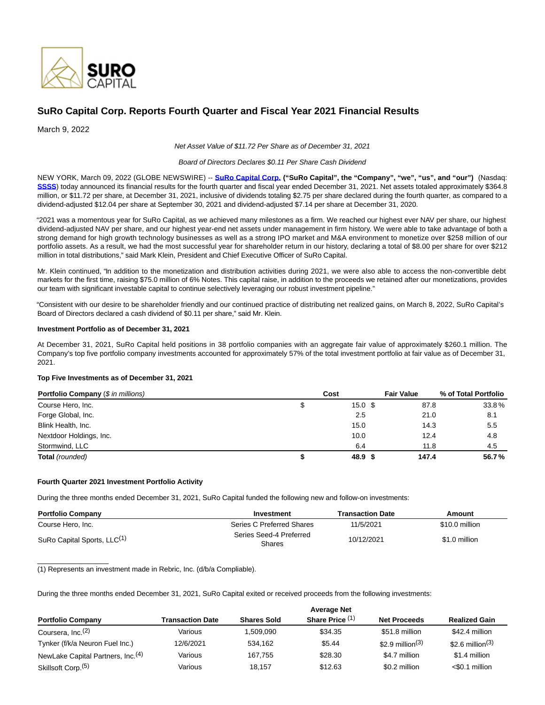

# **SuRo Capital Corp. Reports Fourth Quarter and Fiscal Year 2021 Financial Results**

March 9, 2022

Net Asset Value of \$11.72 Per Share as of December 31, 2021

#### Board of Directors Declares \$0.11 Per Share Cash Dividend

NEW YORK, March 09, 2022 (GLOBE NEWSWIRE) -- **[SuRo Capital Corp. \(](https://www.globenewswire.com/Tracker?data=zn6IAWsznovdjmbIZYLxl2Tp6vZ8bsGDi4fdxXuA8bN0NFBDz6GjplrbVU_CqcpnorkWOAnkK7tPb-HK_F6ymA==)"SuRo Capital", the "Company", "we", "us", and "our")** (Nasdaq: **[SSSS](https://www.globenewswire.com/Tracker?data=zuCNjGP-6ZCu5A1GiCDcDK9IiSuZB391md7yYlSEuxrSA5AQ7BPyUcu3Fs0xjzqp2NB9nC9t2z1VpiJRl17f20dJEfFTQZDZAza7fHz60ec=)**) today announced its financial results for the fourth quarter and fiscal year ended December 31, 2021. Net assets totaled approximately \$364.8 million, or \$11.72 per share, at December 31, 2021, inclusive of dividends totaling \$2.75 per share declared during the fourth quarter, as compared to a dividend-adjusted \$12.04 per share at September 30, 2021 and dividend-adjusted \$7.14 per share at December 31, 2020.

"2021 was a momentous year for SuRo Capital, as we achieved many milestones as a firm. We reached our highest ever NAV per share, our highest dividend-adjusted NAV per share, and our highest year-end net assets under management in firm history. We were able to take advantage of both a strong demand for high growth technology businesses as well as a strong IPO market and M&A environment to monetize over \$258 million of our portfolio assets. As a result, we had the most successful year for shareholder return in our history, declaring a total of \$8.00 per share for over \$212 million in total distributions," said Mark Klein, President and Chief Executive Officer of SuRo Capital.

Mr. Klein continued, "In addition to the monetization and distribution activities during 2021, we were also able to access the non-convertible debt markets for the first time, raising \$75.0 million of 6% Notes. This capital raise, in addition to the proceeds we retained after our monetizations, provides our team with significant investable capital to continue selectively leveraging our robust investment pipeline."

"Consistent with our desire to be shareholder friendly and our continued practice of distributing net realized gains, on March 8, 2022, SuRo Capital's Board of Directors declared a cash dividend of \$0.11 per share," said Mr. Klein.

#### **Investment Portfolio as of December 31, 2021**

At December 31, 2021, SuRo Capital held positions in 38 portfolio companies with an aggregate fair value of approximately \$260.1 million. The Company's top five portfolio company investments accounted for approximately 57% of the total investment portfolio at fair value as of December 31, 2021.

# **Top Five Investments as of December 31, 2021**

| <b>Portfolio Company (\$ in millions)</b> |   | Cost              | <b>Fair Value</b> | % of Total Portfolio |  |  |
|-------------------------------------------|---|-------------------|-------------------|----------------------|--|--|
| Course Hero, Inc.                         | S | 15.0 <sup>5</sup> | 87.8              | 33.8%                |  |  |
| Forge Global, Inc.                        |   | 2.5               | 21.0              | 8.1                  |  |  |
| Blink Health, Inc.                        |   | 15.0              | 14.3              | 5.5                  |  |  |
| Nextdoor Holdings, Inc.                   |   | 10.0              | 12.4              | 4.8                  |  |  |
| Stormwind, LLC                            |   | 6.4               | 11.8              | 4.5                  |  |  |
| Total (rounded)                           |   | 48.9 \$           | 147.4             | 56.7%                |  |  |

# **Fourth Quarter 2021 Investment Portfolio Activity**

 $\_$ 

During the three months ended December 31, 2021, SuRo Capital funded the following new and follow-on investments:

| <b>Portfolio Company</b>                | Investment                        |            | Amount         |
|-----------------------------------------|-----------------------------------|------------|----------------|
| Course Hero, Inc.                       | Series C Preferred Shares         | 11/5/2021  | \$10.0 million |
| SuRo Capital Sports, LLC <sup>(1)</sup> | Series Seed-4 Preferred<br>Shares | 10/12/2021 | \$1.0 million  |

(1) Represents an investment made in Rebric, Inc. (d/b/a Compliable).

During the three months ended December 31, 2021, SuRo Capital exited or received proceeds from the following investments:

|                                               |                         |                    | <b>Average Net</b> |                     |                              |
|-----------------------------------------------|-------------------------|--------------------|--------------------|---------------------|------------------------------|
| <b>Portfolio Company</b>                      | <b>Transaction Date</b> | <b>Shares Sold</b> | Share Price (1)    | <b>Net Proceeds</b> | <b>Realized Gain</b>         |
| Coursera, Inc. <sup>(2)</sup>                 | Various                 | 509.090. ا         | \$34.35            | \$51.8 million      | \$42.4 million               |
| Tynker (f/k/a Neuron Fuel Inc.)               | 12/6/2021               | 534.162            | \$5.44             | \$2.9 million $(3)$ | \$2.6 million <sup>(3)</sup> |
| NewLake Capital Partners, Inc. <sup>(4)</sup> | Various                 | 167.755            | \$28.30            | \$4.7 million       | \$1.4 million                |
| Skillsoft Corp. <sup>(5)</sup>                | Various                 | 18.157             | \$12.63            | \$0.2 million       | $<$ \$0.1 million            |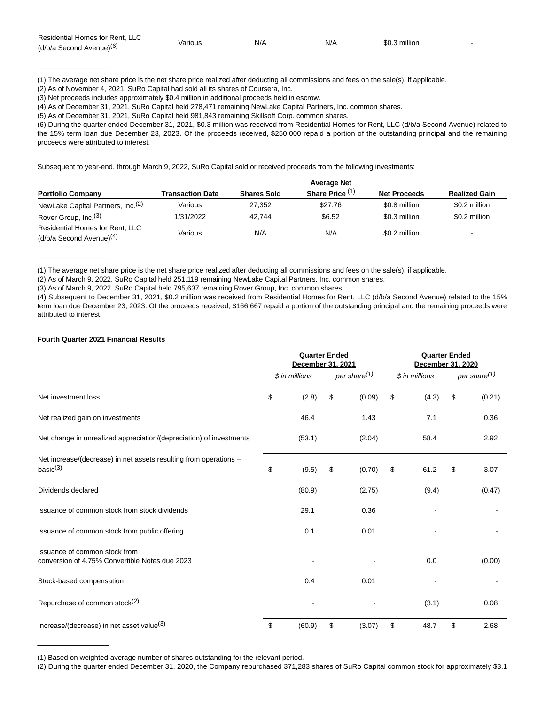| Residential Homes for Rent, LLC      |         | N/A | N/A | \$0.3 million |  |
|--------------------------------------|---------|-----|-----|---------------|--|
| (d/b/a Second Avenue) <sup>(6)</sup> | √arious |     |     |               |  |

<sup>(1)</sup> The average net share price is the net share price realized after deducting all commissions and fees on the sale(s), if applicable.

(2) As of November 4, 2021, SuRo Capital had sold all its shares of Coursera, Inc.

(3) Net proceeds includes approximately \$0.4 million in additional proceeds held in escrow.

(4) As of December 31, 2021, SuRo Capital held 278,471 remaining NewLake Capital Partners, Inc. common shares.

(5) As of December 31, 2021, SuRo Capital held 981,843 remaining Skillsoft Corp. common shares.

(6) During the quarter ended December 31, 2021, \$0.3 million was received from Residential Homes for Rent, LLC (d/b/a Second Avenue) related to the 15% term loan due December 23, 2023. Of the proceeds received, \$250,000 repaid a portion of the outstanding principal and the remaining proceeds were attributed to interest.

Subsequent to year-end, through March 9, 2022, SuRo Capital sold or received proceeds from the following investments:

|                                               |                  | <b>Average Net</b> |                 |                     |                      |  |  |  |  |  |
|-----------------------------------------------|------------------|--------------------|-----------------|---------------------|----------------------|--|--|--|--|--|
| <b>Portfolio Company</b>                      | Transaction Date | <b>Shares Sold</b> | Share Price (1) | <b>Net Proceeds</b> | <b>Realized Gain</b> |  |  |  |  |  |
| NewLake Capital Partners, Inc. <sup>(2)</sup> | Various          | 27.352             | \$27.76         | \$0.8 million       | \$0.2 million        |  |  |  |  |  |
| Rover Group, Inc. <sup>(3)</sup>              | 1/31/2022        | 42.744             | \$6.52          | \$0.3 million       | \$0.2 million        |  |  |  |  |  |
| Residential Homes for Rent, LLC               |                  |                    |                 |                     |                      |  |  |  |  |  |
| $(d/b/a$ Second Avenue) <sup>(4)</sup>        | Various          | N/A                | N/A             | \$0.2 million       | ۰                    |  |  |  |  |  |

(1) The average net share price is the net share price realized after deducting all commissions and fees on the sale(s), if applicable.

(2) As of March 9, 2022, SuRo Capital held 251,119 remaining NewLake Capital Partners, Inc. common shares.

(3) As of March 9, 2022, SuRo Capital held 795,637 remaining Rover Group, Inc. common shares.

(4) Subsequent to December 31, 2021, \$0.2 million was received from Residential Homes for Rent, LLC (d/b/a Second Avenue) related to the 15% term loan due December 23, 2023. Of the proceeds received, \$166,667 repaid a portion of the outstanding principal and the remaining proceeds were attributed to interest.

# **Fourth Quarter 2021 Financial Results**

 $\mathcal{L}=\mathcal{L}$  , we can also the set of the set of the set of the set of the set of the set of the set of the set of the set of the set of the set of the set of the set of the set of the set of the set of the set of the s

\_\_\_\_\_\_\_\_\_\_\_\_\_\_\_\_\_\_

 $\mathcal{L}=\mathcal{L}$  , we can also the set of the set of the set of the set of the set of the set of the set of the set of the set of the set of the set of the set of the set of the set of the set of the set of the set of the s

|                                                                                  | <b>Quarter Ended</b><br>December 31, 2021 |                |    |                          | <b>Quarter Ended</b><br>December 31, 2020 |    |                          |  |
|----------------------------------------------------------------------------------|-------------------------------------------|----------------|----|--------------------------|-------------------------------------------|----|--------------------------|--|
|                                                                                  |                                           | \$ in millions |    | per share <sup>(1)</sup> | \$ in millions                            |    | per share <sup>(1)</sup> |  |
| Net investment loss                                                              | \$                                        | (2.8)          | \$ | (0.09)                   | \$<br>(4.3)                               | \$ | (0.21)                   |  |
| Net realized gain on investments                                                 |                                           | 46.4           |    | 1.43                     | 7.1                                       |    | 0.36                     |  |
| Net change in unrealized appreciation/(depreciation) of investments              |                                           | (53.1)         |    | (2.04)                   | 58.4                                      |    | 2.92                     |  |
| Net increase/(decrease) in net assets resulting from operations -<br>basic $(3)$ | \$                                        | (9.5)          | \$ | (0.70)                   | \$<br>61.2                                | \$ | 3.07                     |  |
| Dividends declared                                                               |                                           | (80.9)         |    | (2.75)                   | (9.4)                                     |    | (0.47)                   |  |
| Issuance of common stock from stock dividends                                    |                                           | 29.1           |    | 0.36                     |                                           |    |                          |  |
| Issuance of common stock from public offering                                    |                                           | 0.1            |    | 0.01                     |                                           |    |                          |  |
| Issuance of common stock from<br>conversion of 4.75% Convertible Notes due 2023  |                                           |                |    |                          | 0.0                                       |    | (0.00)                   |  |
| Stock-based compensation                                                         |                                           | 0.4            |    | 0.01                     |                                           |    |                          |  |
| Repurchase of common stock <sup>(2)</sup>                                        |                                           |                |    |                          | (3.1)                                     |    | 0.08                     |  |
| Increase/(decrease) in net asset value $(3)$                                     | \$                                        | (60.9)         | \$ | (3.07)                   | \$<br>48.7                                | \$ | 2.68                     |  |

(1) Based on weighted-average number of shares outstanding for the relevant period.

<sup>(2)</sup> During the quarter ended December 31, 2020, the Company repurchased 371,283 shares of SuRo Capital common stock for approximately \$3.1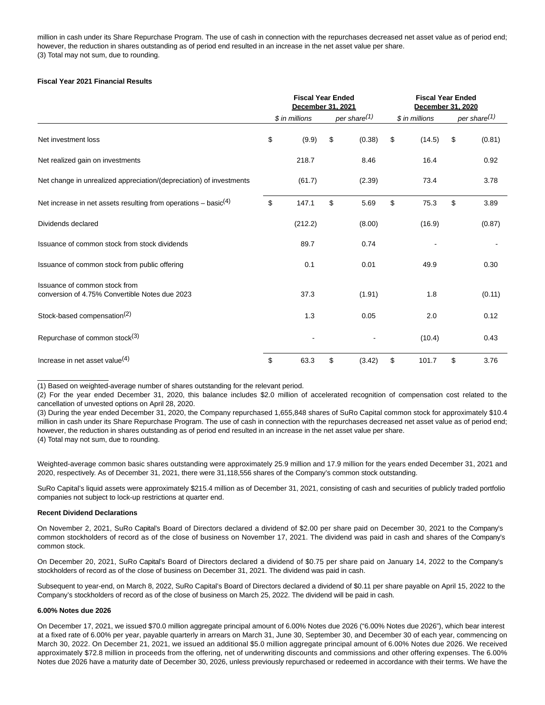million in cash under its Share Repurchase Program. The use of cash in connection with the repurchases decreased net asset value as of period end; however, the reduction in shares outstanding as of period end resulted in an increase in the net asset value per share. (3) Total may not sum, due to rounding.

# **Fiscal Year 2021 Financial Results**

|                                                                                 | <b>Fiscal Year Ended</b><br>December 31, 2021 |                |    |                          |    | <b>Fiscal Year Ended</b><br>December 31, 2020 |    |                          |  |
|---------------------------------------------------------------------------------|-----------------------------------------------|----------------|----|--------------------------|----|-----------------------------------------------|----|--------------------------|--|
|                                                                                 |                                               | \$ in millions |    | per share <sup>(1)</sup> |    | \$ in millions                                |    | per share <sup>(1)</sup> |  |
| Net investment loss                                                             | \$                                            | (9.9)          | \$ | (0.38)                   | \$ | (14.5)                                        | \$ | (0.81)                   |  |
| Net realized gain on investments                                                |                                               | 218.7          |    | 8.46                     |    | 16.4                                          |    | 0.92                     |  |
| Net change in unrealized appreciation/(depreciation) of investments             |                                               | (61.7)         |    | (2.39)                   |    | 73.4                                          |    | 3.78                     |  |
| Net increase in net assets resulting from operations $-$ basic <sup>(4)</sup>   | \$                                            | 147.1          | \$ | 5.69                     | \$ | 75.3                                          | \$ | 3.89                     |  |
| Dividends declared                                                              |                                               | (212.2)        |    | (8.00)                   |    | (16.9)                                        |    | (0.87)                   |  |
| Issuance of common stock from stock dividends                                   |                                               | 89.7           |    | 0.74                     |    |                                               |    |                          |  |
| Issuance of common stock from public offering                                   |                                               | 0.1            |    | 0.01                     |    | 49.9                                          |    | 0.30                     |  |
| Issuance of common stock from<br>conversion of 4.75% Convertible Notes due 2023 |                                               | 37.3           |    | (1.91)                   |    | 1.8                                           |    | (0.11)                   |  |
| Stock-based compensation <sup>(2)</sup>                                         |                                               | 1.3            |    | 0.05                     |    | 2.0                                           |    | 0.12                     |  |
| Repurchase of common stock <sup>(3)</sup>                                       |                                               |                |    |                          |    | (10.4)                                        |    | 0.43                     |  |
| Increase in net asset value $(4)$                                               | \$                                            | 63.3           | \$ | (3.42)                   | \$ | 101.7                                         | \$ | 3.76                     |  |

(1) Based on weighted-average number of shares outstanding for the relevant period.

(2) For the year ended December 31, 2020, this balance includes \$2.0 million of accelerated recognition of compensation cost related to the cancellation of unvested options on April 28, 2020.

(3) During the year ended December 31, 2020, the Company repurchased 1,655,848 shares of SuRo Capital common stock for approximately \$10.4 million in cash under its Share Repurchase Program. The use of cash in connection with the repurchases decreased net asset value as of period end; however, the reduction in shares outstanding as of period end resulted in an increase in the net asset value per share.

(4) Total may not sum, due to rounding.

 $\overline{\phantom{a}}$  , where  $\overline{\phantom{a}}$  , where  $\overline{\phantom{a}}$  , where  $\overline{\phantom{a}}$ 

Weighted-average common basic shares outstanding were approximately 25.9 million and 17.9 million for the years ended December 31, 2021 and 2020, respectively. As of December 31, 2021, there were 31,118,556 shares of the Company's common stock outstanding.

SuRo Capital's liquid assets were approximately \$215.4 million as of December 31, 2021, consisting of cash and securities of publicly traded portfolio companies not subject to lock-up restrictions at quarter end.

# **Recent Dividend Declarations**

On November 2, 2021, SuRo Capital's Board of Directors declared a dividend of \$2.00 per share paid on December 30, 2021 to the Company's common stockholders of record as of the close of business on November 17, 2021. The dividend was paid in cash and shares of the Company's common stock.

On December 20, 2021, SuRo Capital's Board of Directors declared a dividend of \$0.75 per share paid on January 14, 2022 to the Company's stockholders of record as of the close of business on December 31, 2021. The dividend was paid in cash.

Subsequent to year-end, on March 8, 2022, SuRo Capital's Board of Directors declared a dividend of \$0.11 per share payable on April 15, 2022 to the Company's stockholders of record as of the close of business on March 25, 2022. The dividend will be paid in cash.

# **6.00% Notes due 2026**

On December 17, 2021, we issued \$70.0 million aggregate principal amount of 6.00% Notes due 2026 ("6.00% Notes due 2026"), which bear interest at a fixed rate of 6.00% per year, payable quarterly in arrears on March 31, June 30, September 30, and December 30 of each year, commencing on March 30, 2022. On December 21, 2021, we issued an additional \$5.0 million aggregate principal amount of 6.00% Notes due 2026. We received approximately \$72.8 million in proceeds from the offering, net of underwriting discounts and commissions and other offering expenses. The 6.00% Notes due 2026 have a maturity date of December 30, 2026, unless previously repurchased or redeemed in accordance with their terms. We have the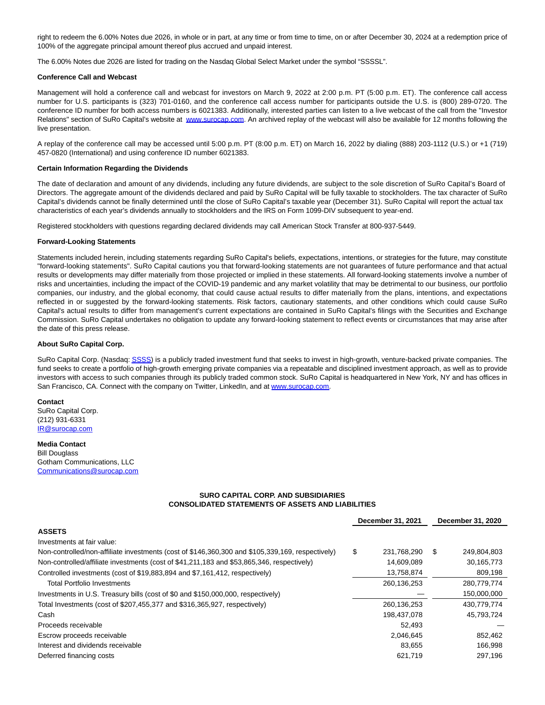right to redeem the 6.00% Notes due 2026, in whole or in part, at any time or from time to time, on or after December 30, 2024 at a redemption price of 100% of the aggregate principal amount thereof plus accrued and unpaid interest.

The 6.00% Notes due 2026 are listed for trading on the Nasdaq Global Select Market under the symbol "SSSSL".

#### **Conference Call and Webcast**

Management will hold a conference call and webcast for investors on March 9, 2022 at 2:00 p.m. PT (5:00 p.m. ET). The conference call access number for U.S. participants is (323) 701-0160, and the conference call access number for participants outside the U.S. is (800) 289-0720. The conference ID number for both access numbers is 6021383. Additionally, interested parties can listen to a live webcast of the call from the "Investor Relations" section of SuRo Capital's website at [www.surocap.com.](https://www.globenewswire.com/Tracker?data=LW_ExkzqKkA5U3JtjeiDqhuxrTN6A_O42JwMZnH0YWYQTYnTfKZX81uWL36Zirqu7suyrTX_0JY0_K4a6II_9A==) An archived replay of the webcast will also be available for 12 months following the live presentation.

A replay of the conference call may be accessed until 5:00 p.m. PT (8:00 p.m. ET) on March 16, 2022 by dialing (888) 203-1112 (U.S.) or +1 (719) 457-0820 (International) and using conference ID number 6021383.

#### **Certain Information Regarding the Dividends**

The date of declaration and amount of any dividends, including any future dividends, are subject to the sole discretion of SuRo Capital's Board of Directors. The aggregate amount of the dividends declared and paid by SuRo Capital will be fully taxable to stockholders. The tax character of SuRo Capital's dividends cannot be finally determined until the close of SuRo Capital's taxable year (December 31). SuRo Capital will report the actual tax characteristics of each year's dividends annually to stockholders and the IRS on Form 1099-DIV subsequent to year-end.

Registered stockholders with questions regarding declared dividends may call American Stock Transfer at 800-937-5449.

#### **Forward-Looking Statements**

Statements included herein, including statements regarding SuRo Capital's beliefs, expectations, intentions, or strategies for the future, may constitute "forward-looking statements". SuRo Capital cautions you that forward-looking statements are not guarantees of future performance and that actual results or developments may differ materially from those projected or implied in these statements. All forward-looking statements involve a number of risks and uncertainties, including the impact of the COVID-19 pandemic and any market volatility that may be detrimental to our business, our portfolio companies, our industry, and the global economy, that could cause actual results to differ materially from the plans, intentions, and expectations reflected in or suggested by the forward-looking statements. Risk factors, cautionary statements, and other conditions which could cause SuRo Capital's actual results to differ from management's current expectations are contained in SuRo Capital's filings with the Securities and Exchange Commission. SuRo Capital undertakes no obligation to update any forward-looking statement to reflect events or circumstances that may arise after the date of this press release.

## **About SuRo Capital Corp.**

SuRo Capital Corp. (Nasdaq[: SSSS\)](https://www.globenewswire.com/Tracker?data=0B-xPdwYGvTwzJdlqcyOVlcN9anMFQ1jKKNfCUqDiF7zkVXfmKFcX_l1islTY3aRXJbP8g9SSyzQlEVADVg-uVyaDnMx7TEjeDdIAzvXW8o=) is a publicly traded investment fund that seeks to invest in high-growth, venture-backed private companies. The fund seeks to create a portfolio of high-growth emerging private companies via a repeatable and disciplined investment approach, as well as to provide investors with access to such companies through its publicly traded common stock. SuRo Capital is headquartered in New York, NY and has offices in San Francisco, CA. Connect with the company on Twitter, LinkedIn, and at [www.surocap.com.](https://www.globenewswire.com/Tracker?data=LW_ExkzqKkA5U3JtjeiDquIFkrF5UibIdP8v8NPLc1UFG1diOlRisA9LjYsn8uhpDNGDBatezZWdvGJPOtr-bg==)

**Contact** SuRo Capital Corp. (212) 931-6331 [IR@surocap.com](https://www.globenewswire.com/Tracker?data=Fa6SQSK9acKANUNQqP6cOUVGoYjkKs7eTsnrvuvJGTzfMsZbGcpysoaFPAN_cJnWmA_oQIBXTkNts3i8QGm9rQ==)

#### **Media Contact** Bill Douglass Gotham Communications, LLC [Communications@surocap.com](https://www.globenewswire.com/Tracker?data=pqxAN5L5z3M_epm73OCS92cgJcTXIjLvLsZxv-k4ekYJmQqwo0RAEx88yRZ28we9B-QraFErcoKlkWxy03WfR979lX3GSCqGsXTeAslHFxqZjGM6UBAGHvfhIdFUaL2J)

# **SURO CAPITAL CORP. AND SUBSIDIARIES CONSOLIDATED STATEMENTS OF ASSETS AND LIABILITIES**

|                                                                                                  | December 31, 2021 | December 31, 2020 |
|--------------------------------------------------------------------------------------------------|-------------------|-------------------|
| <b>ASSETS</b>                                                                                    |                   |                   |
| Investments at fair value:                                                                       |                   |                   |
| Non-controlled/non-affiliate investments (cost of \$146,360,300 and \$105,339,169, respectively) | \$<br>231,768,290 | \$<br>249,804,803 |
| Non-controlled/affiliate investments (cost of \$41,211,183 and \$53,865,346, respectively)       | 14,609,089        | 30,165,773        |
| Controlled investments (cost of \$19,883,894 and \$7,161,412, respectively)                      | 13,758,874        | 809,198           |
| <b>Total Portfolio Investments</b>                                                               | 260,136,253       | 280,779,774       |
| Investments in U.S. Treasury bills (cost of \$0 and \$150,000,000, respectively)                 |                   | 150,000,000       |
| Total Investments (cost of \$207,455,377 and \$316,365,927, respectively)                        | 260,136,253       | 430.779.774       |
| Cash                                                                                             | 198,437,078       | 45,793,724        |
| Proceeds receivable                                                                              | 52.493            |                   |
| Escrow proceeds receivable                                                                       | 2,046,645         | 852,462           |
| Interest and dividends receivable                                                                | 83.655            | 166,998           |
| Deferred financing costs                                                                         | 621.719           | 297.196           |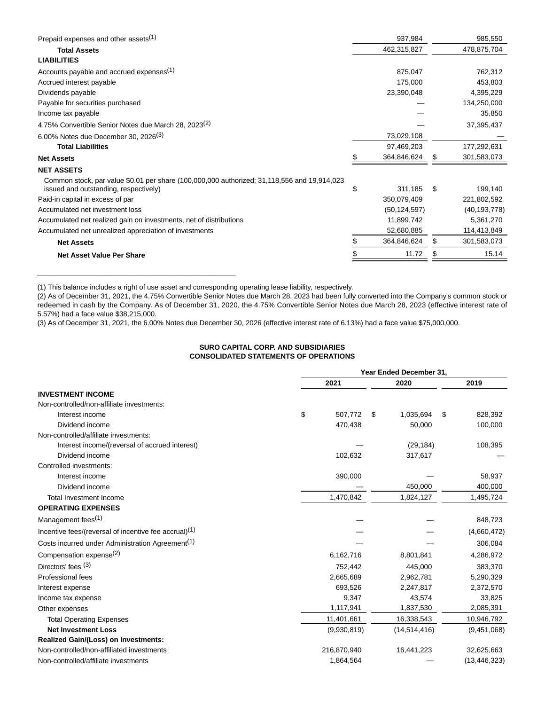| 478,875,704<br>762,312 |
|------------------------|
|                        |
|                        |
|                        |
| 453,803                |
| 4,395,229              |
| 134,250,000            |
| 35,850                 |
| 37,395,437             |
|                        |
| 177,292,631            |
| 301,583,073            |
|                        |
| \$<br>199,140          |
| 221,802,592            |
| (40, 193, 778)         |
| 5,361,270              |
| 114,413,849            |
| 301,583,073            |
| 15.14                  |
|                        |

(1) This balance includes a right of use asset and corresponding operating lease liability, respectively.

\_\_\_\_\_\_\_\_\_\_\_\_\_\_\_\_\_\_\_\_\_\_\_\_\_\_\_\_\_\_\_\_\_\_\_\_\_\_\_\_\_\_\_\_\_\_\_\_\_\_

(2) As of December 31, 2021, the 4.75% Convertible Senior Notes due March 28, 2023 had been fully converted into the Company's common stock or redeemed in cash by the Company. As of December 31, 2020, the 4.75% Convertible Senior Notes due March 28, 2023 (effective interest rate of 5.57%) had a face value \$38,215,000.

(3) As of December 31, 2021, the 6.00% Notes due December 30, 2026 (effective interest rate of 6.13%) had a face value \$75,000,000.

# **SURO CAPITAL CORP. AND SUBSIDIARIES CONSOLIDATED STATEMENTS OF OPERATIONS**

|                                                                   | Year Ended December 31, |               |              |    |                |  |  |  |  |
|-------------------------------------------------------------------|-------------------------|---------------|--------------|----|----------------|--|--|--|--|
|                                                                   | 2021                    |               | 2020         |    | 2019           |  |  |  |  |
| <b>INVESTMENT INCOME</b>                                          |                         |               |              |    |                |  |  |  |  |
| Non-controlled/non-affiliate investments:                         |                         |               |              |    |                |  |  |  |  |
| Interest income                                                   | \$                      | 507.772<br>\$ | 1,035,694    | \$ | 828,392        |  |  |  |  |
| Dividend income                                                   |                         | 470,438       | 50,000       |    | 100,000        |  |  |  |  |
| Non-controlled/affiliate investments:                             |                         |               |              |    |                |  |  |  |  |
| Interest income/(reversal of accrued interest)                    |                         |               | (29, 184)    |    | 108,395        |  |  |  |  |
| Dividend income                                                   |                         | 102,632       | 317,617      |    |                |  |  |  |  |
| Controlled investments:                                           |                         |               |              |    |                |  |  |  |  |
| Interest income                                                   |                         | 390,000       |              |    | 58,937         |  |  |  |  |
| Dividend income                                                   |                         |               | 450,000      |    | 400,000        |  |  |  |  |
| <b>Total Investment Income</b>                                    |                         | 1,470,842     | 1,824,127    |    | 1,495,724      |  |  |  |  |
| <b>OPERATING EXPENSES</b>                                         |                         |               |              |    |                |  |  |  |  |
| Management fees <sup>(1)</sup>                                    |                         |               |              |    | 848,723        |  |  |  |  |
| Incentive fees/(reversal of incentive fee accrual) <sup>(1)</sup> |                         |               |              |    | (4,660,472)    |  |  |  |  |
| Costs incurred under Administration Agreement <sup>(1)</sup>      |                         |               |              |    | 306,084        |  |  |  |  |
| Compensation expense <sup>(2)</sup>                               |                         | 6,162,716     | 8,801,841    |    | 4,286,972      |  |  |  |  |
| Directors' fees $(3)$                                             |                         | 752,442       | 445,000      |    | 383,370        |  |  |  |  |
| Professional fees                                                 |                         | 2,665,689     | 2,962,781    |    | 5,290,329      |  |  |  |  |
| Interest expense                                                  |                         | 693,526       | 2,247,817    |    | 2,372,570      |  |  |  |  |
| Income tax expense                                                |                         | 9,347         | 43,574       |    | 33,825         |  |  |  |  |
| Other expenses                                                    |                         | 1,117,941     | 1,837,530    |    | 2,085,391      |  |  |  |  |
| <b>Total Operating Expenses</b>                                   |                         | 11,401,661    | 16,338,543   |    | 10,946,792     |  |  |  |  |
| <b>Net Investment Loss</b>                                        |                         | (9,930,819)   | (14,514,416) |    | (9,451,068)    |  |  |  |  |
| Realized Gain/(Loss) on Investments:                              |                         |               |              |    |                |  |  |  |  |
| Non-controlled/non-affiliated investments                         |                         | 216,870,940   | 16,441,223   |    | 32,625,663     |  |  |  |  |
| Non-controlled/affiliate investments                              |                         | 1,864,564     |              |    | (13, 446, 323) |  |  |  |  |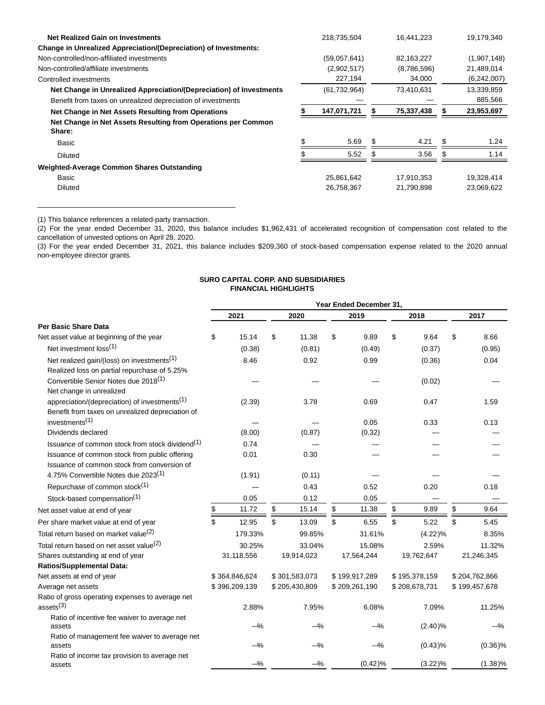| <b>Net Realized Gain on Investments</b>                                 | 218,735,504    |     | 16,441,223  |   | 19,179,340  |
|-------------------------------------------------------------------------|----------------|-----|-------------|---|-------------|
| <b>Change in Unrealized Appreciation/(Depreciation) of Investments:</b> |                |     |             |   |             |
| Non-controlled/non-affiliated investments                               | (59,057,641)   |     | 82,163,227  |   | (1,907,148) |
| Non-controlled/affiliate investments                                    | (2,902,517)    |     | (8,786,596) |   | 21,489,014  |
| Controlled investments                                                  | 227,194        |     | 34,000      |   | (6,242,007) |
| Net Change in Unrealized Appreciation/(Depreciation) of Investments     | (61, 732, 964) |     | 73,410,631  |   | 13,339,859  |
| Benefit from taxes on unrealized depreciation of investments            |                |     |             |   | 885,566     |
| Net Change in Net Assets Resulting from Operations                      | 147,071,721    |     | 75,337,438  |   | 23,953,697  |
| Net Change in Net Assets Resulting from Operations per Common<br>Share: |                |     |             |   |             |
| Basic                                                                   | 5.69           | £.  | 4.21        | S | 1.24        |
| <b>Diluted</b>                                                          | 5.52           | \$. | 3.56        |   | 1.14        |
| Weighted-Average Common Shares Outstanding                              |                |     |             |   |             |
| Basic                                                                   | 25,861,642     |     | 17,910,353  |   | 19,328,414  |
| <b>Diluted</b>                                                          | 26,758,367     |     | 21,790,898  |   | 23,069,622  |

(1) This balance references a related-party transaction.

\_\_\_\_\_\_\_\_\_\_\_\_\_\_\_\_\_\_\_\_\_\_\_\_\_\_\_\_\_\_\_\_\_\_\_\_\_\_\_\_\_\_\_\_\_\_\_\_\_\_

(2) For the year ended December 31, 2020, this balance includes \$1,962,431 of accelerated recognition of compensation cost related to the cancellation of unvested options on April 28, 2020.

(3) For the year ended December 31, 2021, this balance includes \$209,360 of stock-based compensation expense related to the 2020 annual non-employee director grants.

# **SURO CAPITAL CORP. AND SUBSIDIARIES FINANCIAL HIGHLIGHTS**

|                                                             | Year Ended December 31, |               |    |               |    |               |    |               |               |
|-------------------------------------------------------------|-------------------------|---------------|----|---------------|----|---------------|----|---------------|---------------|
|                                                             |                         | 2021          |    | 2020          |    | 2019          |    | 2018          | 2017          |
| Per Basic Share Data                                        |                         |               |    |               |    |               |    |               |               |
| Net asset value at beginning of the year                    | \$                      | 15.14         | \$ | 11.38         | \$ | 9.89          | \$ | 9.64          | \$<br>8.66    |
| Net investment loss <sup>(1)</sup>                          |                         | (0.38)        |    | (0.81)        |    | (0.49)        |    | (0.37)        | (0.95)        |
| Net realized gain/(loss) on investments <sup>(1)</sup>      |                         | 8.46          |    | 0.92          |    | 0.99          |    | (0.36)        | 0.04          |
| Realized loss on partial repurchase of 5.25%                |                         |               |    |               |    |               |    |               |               |
| Convertible Senior Notes due 2018 <sup>(1)</sup>            |                         |               |    |               |    |               |    | (0.02)        |               |
| Net change in unrealized                                    |                         |               |    |               |    |               |    |               |               |
| appreciation/(depreciation) of investments <sup>(1)</sup>   |                         | (2.39)        |    | 3.78          |    | 0.69          |    | 0.47          | 1.59          |
| Benefit from taxes on unrealized depreciation of            |                         |               |    |               |    |               |    |               |               |
| investments <sup>(1)</sup>                                  |                         |               |    |               |    | 0.05          |    | 0.33          | 0.13          |
| Dividends declared                                          |                         | (8.00)        |    | (0.87)        |    | (0.32)        |    |               |               |
| Issuance of common stock from stock dividend <sup>(1)</sup> |                         | 0.74          |    |               |    |               |    |               |               |
| Issuance of common stock from public offering               |                         | 0.01          |    | 0.30          |    |               |    |               |               |
| Issuance of common stock from conversion of                 |                         |               |    |               |    |               |    |               |               |
| 4.75% Convertible Notes due 2023 <sup>(1)</sup>             |                         | (1.91)        |    | (0.11)        |    |               |    |               |               |
| Repurchase of common stock <sup>(1)</sup>                   |                         |               |    | 0.43          |    | 0.52          |    | 0.20          | 0.18          |
| Stock-based compensation <sup>(1)</sup>                     |                         | 0.05          |    | 0.12          |    | 0.05          |    |               |               |
| Net asset value at end of year                              | \$                      | 11.72         | \$ | 15.14         | \$ | 11.38         | \$ | 9.89          | \$<br>9.64    |
| Per share market value at end of year                       | \$                      | 12.95         | \$ | 13.09         | \$ | 6.55          | \$ | 5.22          | \$<br>5.45    |
| Total return based on market value <sup>(2)</sup>           |                         | 179.33%       |    | 99.85%        |    | 31.61%        |    | (4.22)%       | 8.35%         |
| Total return based on net asset value <sup>(2)</sup>        |                         | 30.25%        |    | 33.04%        |    | 15.08%        |    | 2.59%         | 11.32%        |
| Shares outstanding at end of year                           |                         | 31,118,556    |    | 19,914,023    |    | 17,564,244    |    | 19,762,647    | 21,246,345    |
| <b>Ratios/Supplemental Data:</b>                            |                         |               |    |               |    |               |    |               |               |
| Net assets at end of year                                   |                         | \$364,846,624 |    | \$301,583,073 |    | \$199,917,289 |    | \$195,378,159 | \$204,762,866 |
| Average net assets                                          |                         | \$396,209,139 |    | \$205,430,809 |    | \$209,261,190 |    | \$208,678,731 | \$199,457,678 |
| Ratio of gross operating expenses to average net            |                         |               |    |               |    |               |    |               |               |
| ases <sup>(3)</sup>                                         |                         | 2.88%         |    | 7.95%         |    | 6.08%         |    | 7.09%         | 11.25%        |
| Ratio of incentive fee waiver to average net                |                         |               |    |               |    |               |    |               |               |
| assets                                                      |                         | $-\%$         |    | $-\%$         |    | $-\%$         |    | $(2.40)\%$    | $-\%$         |
| Ratio of management fee waiver to average net<br>assets     |                         | $-\%$         |    | $-\%$         |    | $-\%$         |    | (0.43)%       | $(0.36)\%$    |
| Ratio of income tax provision to average net                |                         |               |    |               |    |               |    |               |               |
| assets                                                      |                         | $-\%$         |    | $-\%$         |    | (0.42)%       |    | (3.22)%       | $(1.38)\%$    |